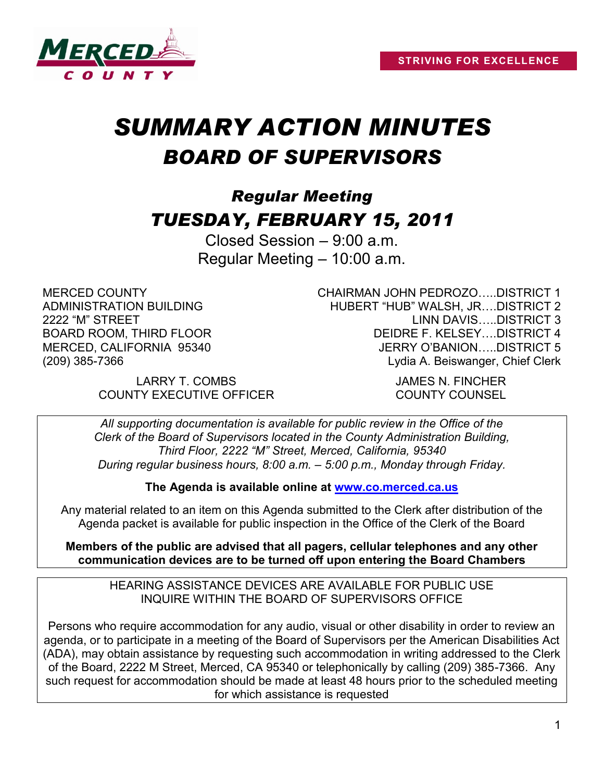

# *SUMMARY ACTION MINUTES BOARD OF SUPERVISORS*

# *Regular Meeting TUESDAY, FEBRUARY 15, 2011*

Closed Session – 9:00 a.m. Regular Meeting – 10:00 a.m.

MERCED COUNTY ADMINISTRATION BUILDING 2222 "M" STREET BOARD ROOM, THIRD FLOOR MERCED, CALIFORNIA 95340 (209) 385-7366

CHAIRMAN JOHN PEDROZO…..DISTRICT 1 HUBERT "HUB" WALSH, JR….DISTRICT 2 LINN DAVIS…..DISTRICT 3 DEIDRE F. KELSEY….DISTRICT 4 JERRY O'BANION…..DISTRICT 5 Lydia A. Beiswanger, Chief Clerk

LARRY T. COMBS JAMES N. FINCHER COUNTY EXECUTIVE OFFICER COUNTY COUNSEL

*All supporting documentation is available for public review in the Office of the Clerk of the Board of Supervisors located in the County Administration Building, Third Floor, 2222 "M" Street, Merced, California, 95340 During regular business hours, 8:00 a.m. – 5:00 p.m., Monday through Friday.*

**The Agenda is available online at [www.co.merced.ca.us](http://www.co.merced.ca.us/)**

Any material related to an item on this Agenda submitted to the Clerk after distribution of the Agenda packet is available for public inspection in the Office of the Clerk of the Board

**Members of the public are advised that all pagers, cellular telephones and any other communication devices are to be turned off upon entering the Board Chambers**

HEARING ASSISTANCE DEVICES ARE AVAILABLE FOR PUBLIC USE INQUIRE WITHIN THE BOARD OF SUPERVISORS OFFICE

Persons who require accommodation for any audio, visual or other disability in order to review an agenda, or to participate in a meeting of the Board of Supervisors per the American Disabilities Act (ADA), may obtain assistance by requesting such accommodation in writing addressed to the Clerk of the Board, 2222 M Street, Merced, CA 95340 or telephonically by calling (209) 385-7366. Any such request for accommodation should be made at least 48 hours prior to the scheduled meeting for which assistance is requested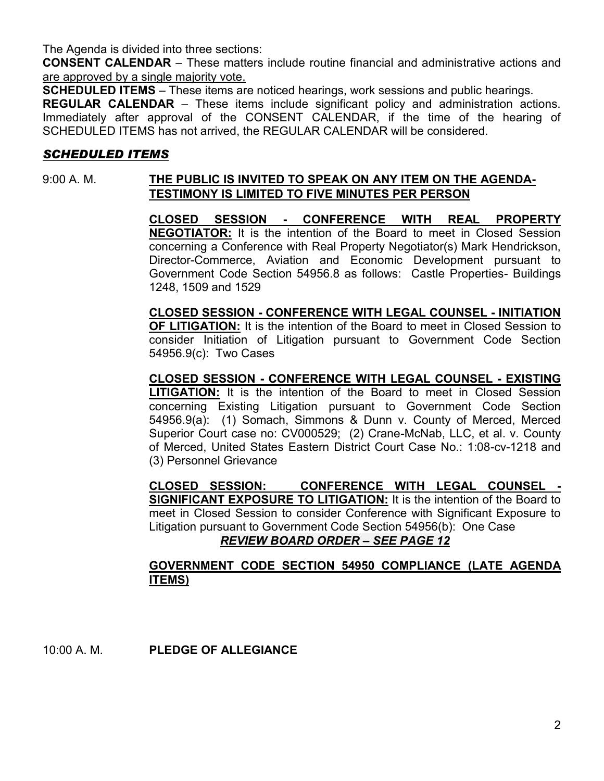The Agenda is divided into three sections:

**CONSENT CALENDAR** – These matters include routine financial and administrative actions and are approved by a single majority vote.

**SCHEDULED ITEMS** – These items are noticed hearings, work sessions and public hearings.

**REGULAR CALENDAR** – These items include significant policy and administration actions. Immediately after approval of the CONSENT CALENDAR, if the time of the hearing of SCHEDULED ITEMS has not arrived, the REGULAR CALENDAR will be considered.

#### *SCHEDULED ITEMS*

#### 9:00 A. M. **THE PUBLIC IS INVITED TO SPEAK ON ANY ITEM ON THE AGENDA-TESTIMONY IS LIMITED TO FIVE MINUTES PER PERSON**

**CLOSED SESSION - CONFERENCE WITH REAL PROPERTY NEGOTIATOR:** It is the intention of the Board to meet in Closed Session concerning a Conference with Real Property Negotiator(s) Mark Hendrickson, Director-Commerce, Aviation and Economic Development pursuant to Government Code Section 54956.8 as follows: Castle Properties- Buildings 1248, 1509 and 1529

**CLOSED SESSION - CONFERENCE WITH LEGAL COUNSEL - INITIATION OF LITIGATION:** It is the intention of the Board to meet in Closed Session to consider Initiation of Litigation pursuant to Government Code Section 54956.9(c): Two Cases

**CLOSED SESSION - CONFERENCE WITH LEGAL COUNSEL - EXISTING LITIGATION:** It is the intention of the Board to meet in Closed Session concerning Existing Litigation pursuant to Government Code Section 54956.9(a): (1) Somach, Simmons & Dunn v. County of Merced, Merced Superior Court case no: CV000529; (2) Crane-McNab, LLC, et al. v. County of Merced, United States Eastern District Court Case No.: 1:08-cv-1218 and (3) Personnel Grievance

**CLOSED SESSION: CONFERENCE WITH LEGAL COUNSEL - SIGNIFICANT EXPOSURE TO LITIGATION:** It is the intention of the Board to meet in Closed Session to consider Conference with Significant Exposure to Litigation pursuant to Government Code Section 54956(b): One Case *REVIEW BOARD ORDER – SEE PAGE 12*

#### **GOVERNMENT CODE SECTION 54950 COMPLIANCE (LATE AGENDA ITEMS)**

10:00 A. M. **PLEDGE OF ALLEGIANCE**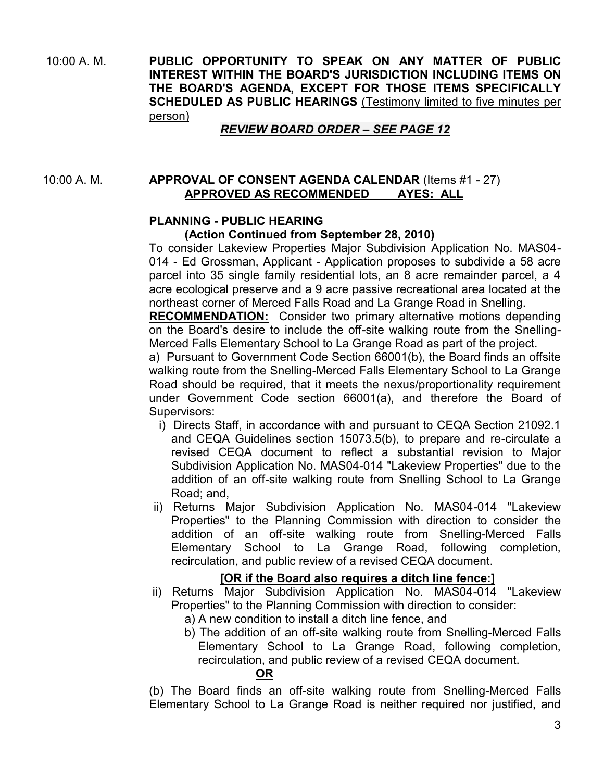10:00 A. M. **PUBLIC OPPORTUNITY TO SPEAK ON ANY MATTER OF PUBLIC INTEREST WITHIN THE BOARD'S JURISDICTION INCLUDING ITEMS ON THE BOARD'S AGENDA, EXCEPT FOR THOSE ITEMS SPECIFICALLY SCHEDULED AS PUBLIC HEARINGS** (Testimony limited to five minutes per person)

#### *REVIEW BOARD ORDER – SEE PAGE 12*

10:00 A. M. **APPROVAL OF CONSENT AGENDA CALENDAR** (Items #1 - 27) **APPROVED AS RECOMMENDED AYES: ALL**

#### **PLANNING - PUBLIC HEARING**

#### **(Action Continued from September 28, 2010)**

To consider Lakeview Properties Major Subdivision Application No. MAS04- 014 - Ed Grossman, Applicant - Application proposes to subdivide a 58 acre parcel into 35 single family residential lots, an 8 acre remainder parcel, a 4 acre ecological preserve and a 9 acre passive recreational area located at the northeast corner of Merced Falls Road and La Grange Road in Snelling.

**RECOMMENDATION:** Consider two primary alternative motions depending on the Board's desire to include the off-site walking route from the Snelling-Merced Falls Elementary School to La Grange Road as part of the project.

a) Pursuant to Government Code Section 66001(b), the Board finds an offsite walking route from the Snelling-Merced Falls Elementary School to La Grange Road should be required, that it meets the nexus/proportionality requirement under Government Code section 66001(a), and therefore the Board of Supervisors:

- i) Directs Staff, in accordance with and pursuant to CEQA Section 21092.1 and CEQA Guidelines section 15073.5(b), to prepare and re-circulate a revised CEQA document to reflect a substantial revision to Major Subdivision Application No. MAS04-014 "Lakeview Properties" due to the addition of an off-site walking route from Snelling School to La Grange Road; and,
- ii) Returns Major Subdivision Application No. MAS04-014 "Lakeview Properties" to the Planning Commission with direction to consider the addition of an off-site walking route from Snelling-Merced Falls Elementary School to La Grange Road, following completion, recirculation, and public review of a revised CEQA document.

#### **[OR if the Board also requires a ditch line fence:]**

- ii) Returns Major Subdivision Application No. MAS04-014 "Lakeview Properties" to the Planning Commission with direction to consider:
	- a) A new condition to install a ditch line fence, and
	- b) The addition of an off-site walking route from Snelling-Merced Falls Elementary School to La Grange Road, following completion, recirculation, and public review of a revised CEQA document.

#### **OR**

(b) The Board finds an off-site walking route from Snelling-Merced Falls Elementary School to La Grange Road is neither required nor justified, and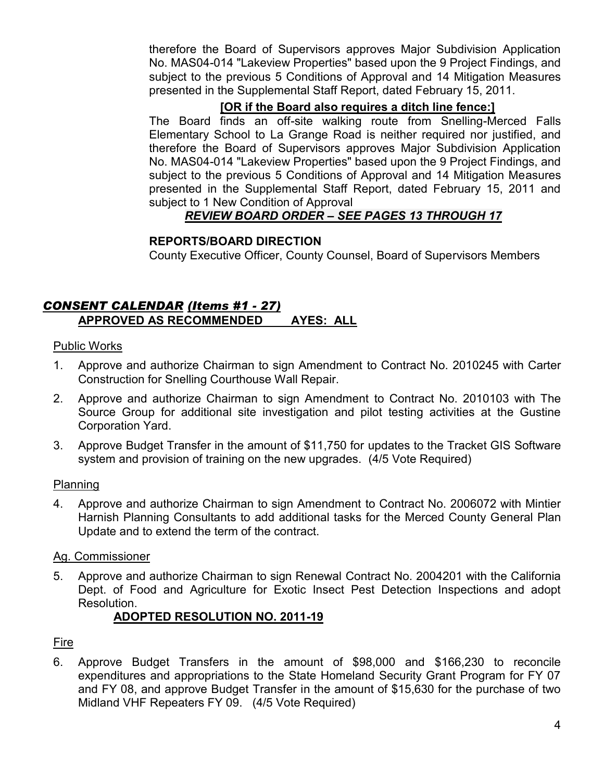therefore the Board of Supervisors approves Major Subdivision Application No. MAS04-014 "Lakeview Properties" based upon the 9 Project Findings, and subject to the previous 5 Conditions of Approval and 14 Mitigation Measures presented in the Supplemental Staff Report, dated February 15, 2011.

# **[OR if the Board also requires a ditch line fence:]**

The Board finds an off-site walking route from Snelling-Merced Falls Elementary School to La Grange Road is neither required nor justified, and therefore the Board of Supervisors approves Major Subdivision Application No. MAS04-014 "Lakeview Properties" based upon the 9 Project Findings, and subject to the previous 5 Conditions of Approval and 14 Mitigation Measures presented in the Supplemental Staff Report, dated February 15, 2011 and subject to 1 New Condition of Approval

# *REVIEW BOARD ORDER – SEE PAGES 13 THROUGH 17*

# **REPORTS/BOARD DIRECTION**

County Executive Officer, County Counsel, Board of Supervisors Members

# *CONSENT CALENDAR (Items #1 - 27)* **APPROVED AS RECOMMENDED AYES: ALL**

#### Public Works

- 1. Approve and authorize Chairman to sign Amendment to Contract No. 2010245 with Carter Construction for Snelling Courthouse Wall Repair.
- 2. Approve and authorize Chairman to sign Amendment to Contract No. 2010103 with The Source Group for additional site investigation and pilot testing activities at the Gustine Corporation Yard.
- 3. Approve Budget Transfer in the amount of \$11,750 for updates to the Tracket GIS Software system and provision of training on the new upgrades. (4/5 Vote Required)

#### Planning

4. Approve and authorize Chairman to sign Amendment to Contract No. 2006072 with Mintier Harnish Planning Consultants to add additional tasks for the Merced County General Plan Update and to extend the term of the contract.

#### Ag. Commissioner

5. Approve and authorize Chairman to sign Renewal Contract No. 2004201 with the California Dept. of Food and Agriculture for Exotic Insect Pest Detection Inspections and adopt Resolution.

#### **ADOPTED RESOLUTION NO. 2011-19**

#### Fire

6. Approve Budget Transfers in the amount of \$98,000 and \$166,230 to reconcile expenditures and appropriations to the State Homeland Security Grant Program for FY 07 and FY 08, and approve Budget Transfer in the amount of \$15,630 for the purchase of two Midland VHF Repeaters FY 09. (4/5 Vote Required)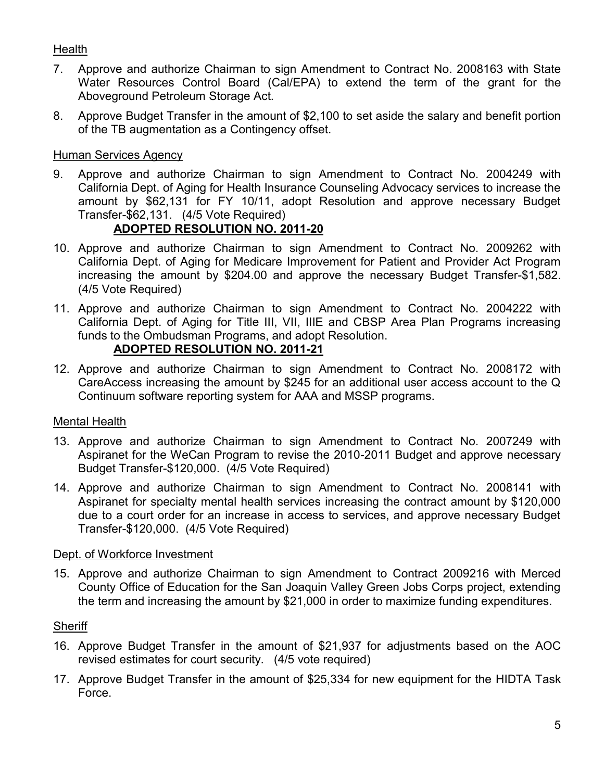# **Health**

- 7. Approve and authorize Chairman to sign Amendment to Contract No. 2008163 with State Water Resources Control Board (Cal/EPA) to extend the term of the grant for the Aboveground Petroleum Storage Act.
- 8. Approve Budget Transfer in the amount of \$2,100 to set aside the salary and benefit portion of the TB augmentation as a Contingency offset.

#### Human Services Agency

9. Approve and authorize Chairman to sign Amendment to Contract No. 2004249 with California Dept. of Aging for Health Insurance Counseling Advocacy services to increase the amount by \$62,131 for FY 10/11, adopt Resolution and approve necessary Budget Transfer-\$62,131. (4/5 Vote Required)

# **ADOPTED RESOLUTION NO. 2011-20**

- 10. Approve and authorize Chairman to sign Amendment to Contract No. 2009262 with California Dept. of Aging for Medicare Improvement for Patient and Provider Act Program increasing the amount by \$204.00 and approve the necessary Budget Transfer-\$1,582. (4/5 Vote Required)
- 11. Approve and authorize Chairman to sign Amendment to Contract No. 2004222 with California Dept. of Aging for Title III, VII, IIIE and CBSP Area Plan Programs increasing funds to the Ombudsman Programs, and adopt Resolution.

#### **ADOPTED RESOLUTION NO. 2011-21**

12. Approve and authorize Chairman to sign Amendment to Contract No. 2008172 with CareAccess increasing the amount by \$245 for an additional user access account to the Q Continuum software reporting system for AAA and MSSP programs.

#### Mental Health

- 13. Approve and authorize Chairman to sign Amendment to Contract No. 2007249 with Aspiranet for the WeCan Program to revise the 2010-2011 Budget and approve necessary Budget Transfer-\$120,000. (4/5 Vote Required)
- 14. Approve and authorize Chairman to sign Amendment to Contract No. 2008141 with Aspiranet for specialty mental health services increasing the contract amount by \$120,000 due to a court order for an increase in access to services, and approve necessary Budget Transfer-\$120,000. (4/5 Vote Required)

#### Dept. of Workforce Investment

15. Approve and authorize Chairman to sign Amendment to Contract 2009216 with Merced County Office of Education for the San Joaquin Valley Green Jobs Corps project, extending the term and increasing the amount by \$21,000 in order to maximize funding expenditures.

#### **Sheriff**

- 16. Approve Budget Transfer in the amount of \$21,937 for adjustments based on the AOC revised estimates for court security. (4/5 vote required)
- 17. Approve Budget Transfer in the amount of \$25,334 for new equipment for the HIDTA Task Force.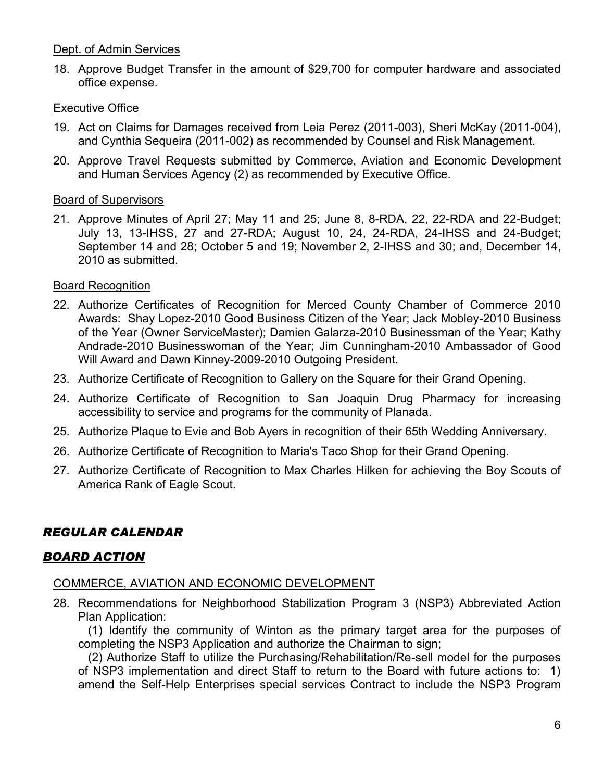#### Dept. of Admin Services

18. Approve Budget Transfer in the amount of \$29,700 for computer hardware and associated office expense.

#### Executive Office

- 19. Act on Claims for Damages received from Leia Perez (2011-003), Sheri McKay (2011-004), and Cynthia Sequeira (2011-002) as recommended by Counsel and Risk Management.
- 20. Approve Travel Requests submitted by Commerce, Aviation and Economic Development and Human Services Agency (2) as recommended by Executive Office.

#### Board of Supervisors

21. Approve Minutes of April 27; May 11 and 25; June 8, 8-RDA, 22, 22-RDA and 22-Budget; July 13, 13-IHSS, 27 and 27-RDA; August 10, 24, 24-RDA, 24-IHSS and 24-Budget; September 14 and 28; October 5 and 19; November 2, 2-IHSS and 30; and, December 14, 2010 as submitted.

#### Board Recognition

- 22. Authorize Certificates of Recognition for Merced County Chamber of Commerce 2010 Awards: Shay Lopez-2010 Good Business Citizen of the Year; Jack Mobley-2010 Business of the Year (Owner ServiceMaster); Damien Galarza-2010 Businessman of the Year; Kathy Andrade-2010 Businesswoman of the Year; Jim Cunningham-2010 Ambassador of Good Will Award and Dawn Kinney-2009-2010 Outgoing President.
- 23. Authorize Certificate of Recognition to Gallery on the Square for their Grand Opening.
- 24. Authorize Certificate of Recognition to San Joaquin Drug Pharmacy for increasing accessibility to service and programs for the community of Planada.
- 25. Authorize Plaque to Evie and Bob Ayers in recognition of their 65th Wedding Anniversary.
- 26. Authorize Certificate of Recognition to Maria's Taco Shop for their Grand Opening.
- 27. Authorize Certificate of Recognition to Max Charles Hilken for achieving the Boy Scouts of America Rank of Eagle Scout.

# *REGULAR CALENDAR*

# *BOARD ACTION*

#### COMMERCE, AVIATION AND ECONOMIC DEVELOPMENT

28. Recommendations for Neighborhood Stabilization Program 3 (NSP3) Abbreviated Action Plan Application:

 (1) Identify the community of Winton as the primary target area for the purposes of completing the NSP3 Application and authorize the Chairman to sign;

 (2) Authorize Staff to utilize the Purchasing/Rehabilitation/Re-sell model for the purposes of NSP3 implementation and direct Staff to return to the Board with future actions to: 1) amend the Self-Help Enterprises special services Contract to include the NSP3 Program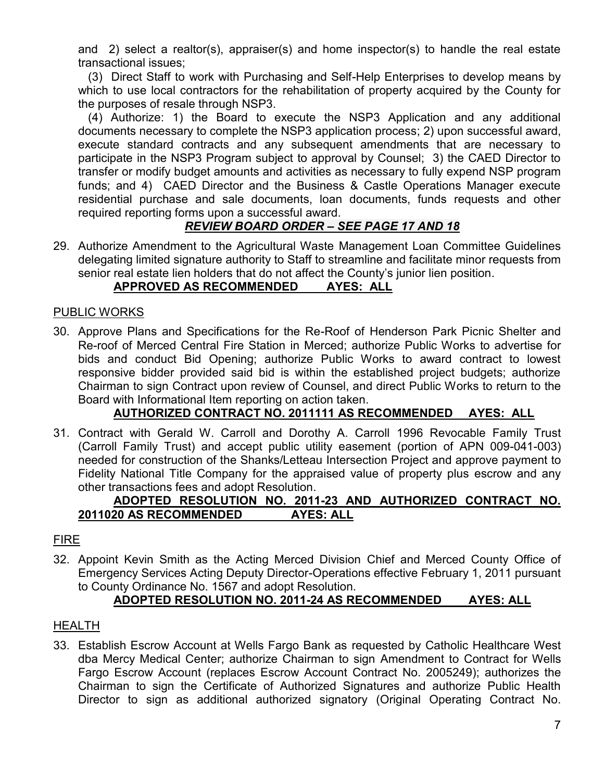and 2) select a realtor(s), appraiser(s) and home inspector(s) to handle the real estate transactional issues;

 (3) Direct Staff to work with Purchasing and Self-Help Enterprises to develop means by which to use local contractors for the rehabilitation of property acquired by the County for the purposes of resale through NSP3.

 (4) Authorize: 1) the Board to execute the NSP3 Application and any additional documents necessary to complete the NSP3 application process; 2) upon successful award, execute standard contracts and any subsequent amendments that are necessary to participate in the NSP3 Program subject to approval by Counsel; 3) the CAED Director to transfer or modify budget amounts and activities as necessary to fully expend NSP program funds; and 4) CAED Director and the Business & Castle Operations Manager execute residential purchase and sale documents, loan documents, funds requests and other required reporting forms upon a successful award.

# *REVIEW BOARD ORDER – SEE PAGE 17 AND 18*

29. Authorize Amendment to the Agricultural Waste Management Loan Committee Guidelines delegating limited signature authority to Staff to streamline and facilitate minor requests from senior real estate lien holders that do not affect the County's junior lien position.

# **APPROVED AS RECOMMENDED AYES: ALL**

#### PUBLIC WORKS

30. Approve Plans and Specifications for the Re-Roof of Henderson Park Picnic Shelter and Re-roof of Merced Central Fire Station in Merced; authorize Public Works to advertise for bids and conduct Bid Opening; authorize Public Works to award contract to lowest responsive bidder provided said bid is within the established project budgets; authorize Chairman to sign Contract upon review of Counsel, and direct Public Works to return to the Board with Informational Item reporting on action taken.

# **AUTHORIZED CONTRACT NO. 2011111 AS RECOMMENDED AYES: ALL**

31. Contract with Gerald W. Carroll and Dorothy A. Carroll 1996 Revocable Family Trust (Carroll Family Trust) and accept public utility easement (portion of APN 009-041-003) needed for construction of the Shanks/Letteau Intersection Project and approve payment to Fidelity National Title Company for the appraised value of property plus escrow and any other transactions fees and adopt Resolution.

#### **ADOPTED RESOLUTION NO. 2011-23 AND AUTHORIZED CONTRACT NO. 2011020 AS RECOMMENDED AYES: ALL**

#### FIRE

32. Appoint Kevin Smith as the Acting Merced Division Chief and Merced County Office of Emergency Services Acting Deputy Director-Operations effective February 1, 2011 pursuant to County Ordinance No. 1567 and adopt Resolution.

# **ADOPTED RESOLUTION NO. 2011-24 AS RECOMMENDED AYES: ALL**

#### HEALTH

33. Establish Escrow Account at Wells Fargo Bank as requested by Catholic Healthcare West dba Mercy Medical Center; authorize Chairman to sign Amendment to Contract for Wells Fargo Escrow Account (replaces Escrow Account Contract No. 2005249); authorizes the Chairman to sign the Certificate of Authorized Signatures and authorize Public Health Director to sign as additional authorized signatory (Original Operating Contract No.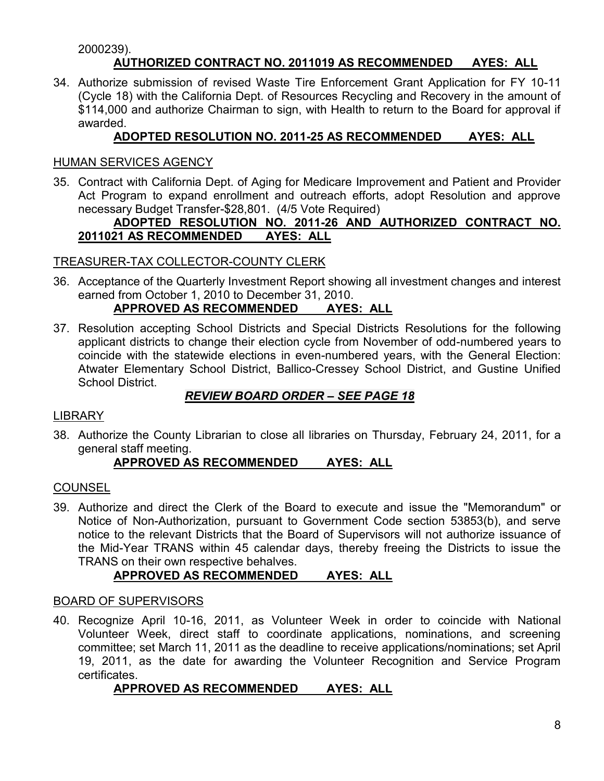#### 2000239).

# **AUTHORIZED CONTRACT NO. 2011019 AS RECOMMENDED AYES: ALL**

34. Authorize submission of revised Waste Tire Enforcement Grant Application for FY 10-11 (Cycle 18) with the California Dept. of Resources Recycling and Recovery in the amount of \$114,000 and authorize Chairman to sign, with Health to return to the Board for approval if awarded.

# **ADOPTED RESOLUTION NO. 2011-25 AS RECOMMENDED AYES: ALL**

#### HUMAN SERVICES AGENCY

35. Contract with California Dept. of Aging for Medicare Improvement and Patient and Provider Act Program to expand enrollment and outreach efforts, adopt Resolution and approve necessary Budget Transfer-\$28,801. (4/5 Vote Required)

#### **ADOPTED RESOLUTION NO. 2011-26 AND AUTHORIZED CONTRACT NO. 2011021 AS RECOMMENDED AYES: ALL**

#### TREASURER-TAX COLLECTOR-COUNTY CLERK

36. Acceptance of the Quarterly Investment Report showing all investment changes and interest earned from October 1, 2010 to December 31, 2010.

# **APPROVED AS RECOMMENDED AYES: ALL**

37. Resolution accepting School Districts and Special Districts Resolutions for the following applicant districts to change their election cycle from November of odd-numbered years to coincide with the statewide elections in even-numbered years, with the General Election: Atwater Elementary School District, Ballico-Cressey School District, and Gustine Unified School District.

#### *REVIEW BOARD ORDER – SEE PAGE 18*

#### LIBRARY

38. Authorize the County Librarian to close all libraries on Thursday, February 24, 2011, for a general staff meeting.

# **APPROVED AS RECOMMENDED AYES: ALL**

#### COUNSEL

39. Authorize and direct the Clerk of the Board to execute and issue the "Memorandum" or Notice of Non-Authorization, pursuant to Government Code section 53853(b), and serve notice to the relevant Districts that the Board of Supervisors will not authorize issuance of the Mid-Year TRANS within 45 calendar days, thereby freeing the Districts to issue the TRANS on their own respective behalves.

# **APPROVED AS RECOMMENDED AYES: ALL**

#### BOARD OF SUPERVISORS

40. Recognize April 10-16, 2011, as Volunteer Week in order to coincide with National Volunteer Week, direct staff to coordinate applications, nominations, and screening committee; set March 11, 2011 as the deadline to receive applications/nominations; set April 19, 2011, as the date for awarding the Volunteer Recognition and Service Program certificates.

#### **APPROVED AS RECOMMENDED AYES: ALL**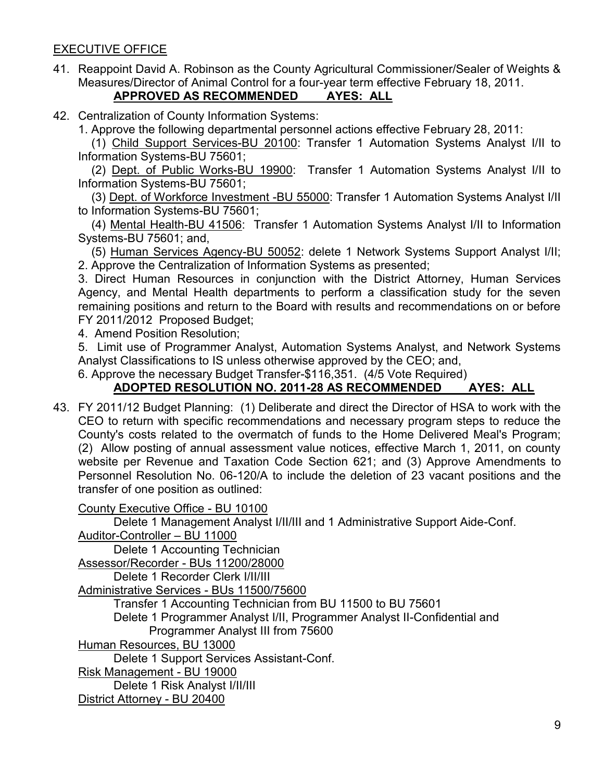# EXECUTIVE OFFICE

41. Reappoint David A. Robinson as the County Agricultural Commissioner/Sealer of Weights & Measures/Director of Animal Control for a four-year term effective February 18, 2011.

# **APPROVED AS RECOMMENDED AYES: ALL**

42. Centralization of County Information Systems:

1. Approve the following departmental personnel actions effective February 28, 2011:

 (1) Child Support Services-BU 20100: Transfer 1 Automation Systems Analyst I/II to Information Systems-BU 75601;

 (2) Dept. of Public Works-BU 19900: Transfer 1 Automation Systems Analyst I/II to Information Systems-BU 75601;

 (3) Dept. of Workforce Investment -BU 55000: Transfer 1 Automation Systems Analyst I/II to Information Systems-BU 75601;

 (4) Mental Health-BU 41506: Transfer 1 Automation Systems Analyst I/II to Information Systems-BU 75601; and,

 (5) Human Services Agency-BU 50052: delete 1 Network Systems Support Analyst I/II; 2. Approve the Centralization of Information Systems as presented;

3. Direct Human Resources in conjunction with the District Attorney, Human Services Agency, and Mental Health departments to perform a classification study for the seven remaining positions and return to the Board with results and recommendations on or before FY 2011/2012 Proposed Budget;

4. Amend Position Resolution;

5. Limit use of Programmer Analyst, Automation Systems Analyst, and Network Systems Analyst Classifications to IS unless otherwise approved by the CEO; and,

6. Approve the necessary Budget Transfer-\$116,351. (4/5 Vote Required)

# **ADOPTED RESOLUTION NO. 2011-28 AS RECOMMENDED AYES: ALL**

43. FY 2011/12 Budget Planning: (1) Deliberate and direct the Director of HSA to work with the CEO to return with specific recommendations and necessary program steps to reduce the County's costs related to the overmatch of funds to the Home Delivered Meal's Program; (2) Allow posting of annual assessment value notices, effective March 1, 2011, on county website per Revenue and Taxation Code Section 621; and (3) Approve Amendments to Personnel Resolution No. 06-120/A to include the deletion of 23 vacant positions and the transfer of one position as outlined:

County Executive Office - BU 10100

Delete 1 Management Analyst I/II/III and 1 Administrative Support Aide-Conf. Auditor-Controller – BU 11000

Delete 1 Accounting Technician

Assessor/Recorder - BUs 11200/28000

Delete 1 Recorder Clerk I/II/III

Administrative Services - BUs 11500/75600

Transfer 1 Accounting Technician from BU 11500 to BU 75601

Delete 1 Programmer Analyst I/II, Programmer Analyst II-Confidential and

Programmer Analyst III from 75600

Human Resources, BU 13000

Delete 1 Support Services Assistant-Conf.

Risk Management - BU 19000

Delete 1 Risk Analyst I/II/III

District Attorney - BU 20400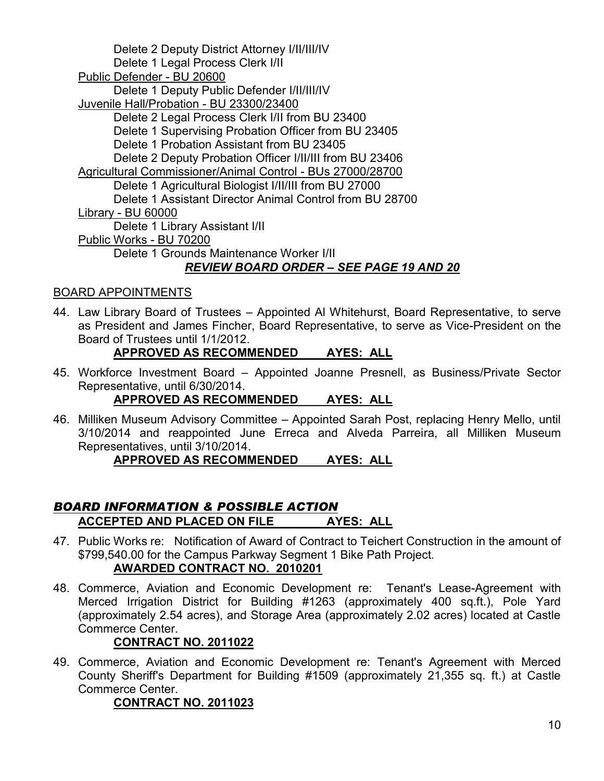Delete 2 Deputy District Attorney I/II/III/IV Delete 1 Legal Process Clerk I/II Public Defender - BU 20600 Delete 1 Deputy Public Defender I/II/III/IV Juvenile Hall/Probation - BU 23300/23400 Delete 2 Legal Process Clerk I/II from BU 23400 Delete 1 Supervising Probation Officer from BU 23405 Delete 1 Probation Assistant from BU 23405 Delete 2 Deputy Probation Officer I/II/III from BU 23406 Agricultural Commissioner/Animal Control - BUs 27000/28700 Delete 1 Agricultural Biologist I/II/III from BU 27000 Delete 1 Assistant Director Animal Control from BU 28700 Library - BU 60000 Delete 1 Library Assistant I/II Public Works - BU 70200 Delete 1 Grounds Maintenance Worker I/II *REVIEW BOARD ORDER – SEE PAGE 19 AND 20*

# BOARD APPOINTMENTS

44. Law Library Board of Trustees – Appointed Al Whitehurst, Board Representative, to serve as President and James Fincher, Board Representative, to serve as Vice-President on the Board of Trustees until 1/1/2012.

# **APPROVED AS RECOMMENDED AYES: ALL**

45. Workforce Investment Board – Appointed Joanne Presnell, as Business/Private Sector Representative, until 6/30/2014.

#### **APPROVED AS RECOMMENDED AYES: ALL**

46. Milliken Museum Advisory Committee – Appointed Sarah Post, replacing Henry Mello, until 3/10/2014 and reappointed June Erreca and Alveda Parreira, all Milliken Museum Representatives, until 3/10/2014.

#### **APPROVED AS RECOMMENDED AYES: ALL**

# *BOARD INFORMATION & POSSIBLE ACTION* **ACCEPTED AND PLACED ON FILE AYES: ALL**

- 47. Public Works re: Notification of Award of Contract to Teichert Construction in the amount of \$799,540.00 for the Campus Parkway Segment 1 Bike Path Project. **AWARDED CONTRACT NO. 2010201**
- 48. Commerce, Aviation and Economic Development re: Tenant's Lease-Agreement with Merced Irrigation District for Building #1263 (approximately 400 sq.ft.), Pole Yard (approximately 2.54 acres), and Storage Area (approximately 2.02 acres) located at Castle Commerce Center.

#### **CONTRACT NO. 2011022**

49. Commerce, Aviation and Economic Development re: Tenant's Agreement with Merced County Sheriff's Department for Building #1509 (approximately 21,355 sq. ft.) at Castle Commerce Center.

#### **CONTRACT NO. 2011023**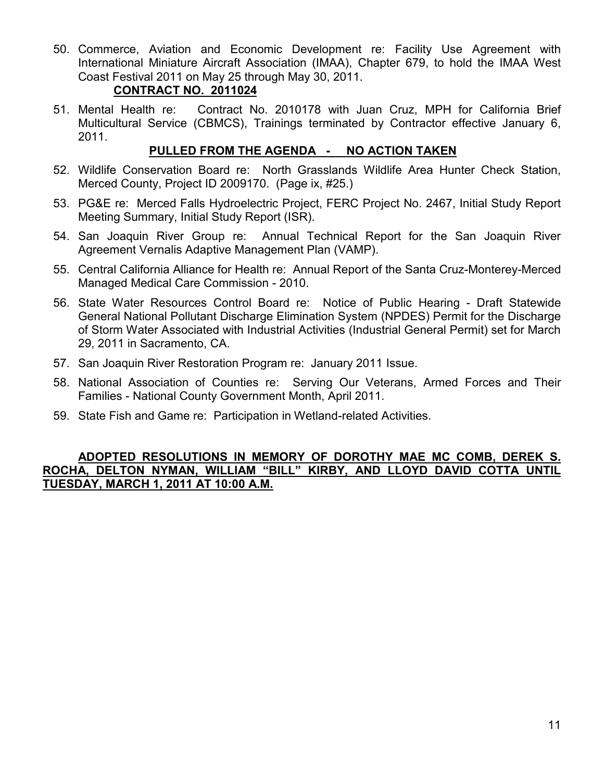50. Commerce, Aviation and Economic Development re: Facility Use Agreement with International Miniature Aircraft Association (IMAA), Chapter 679, to hold the IMAA West Coast Festival 2011 on May 25 through May 30, 2011.

#### **CONTRACT NO. 2011024**

51. Mental Health re: Contract No. 2010178 with Juan Cruz, MPH for California Brief Multicultural Service (CBMCS), Trainings terminated by Contractor effective January 6, 2011.

# **PULLED FROM THE AGENDA - NO ACTION TAKEN**

- 52. Wildlife Conservation Board re: North Grasslands Wildlife Area Hunter Check Station, Merced County, Project ID 2009170. (Page ix, #25.)
- 53. PG&E re: Merced Falls Hydroelectric Project, FERC Project No. 2467, Initial Study Report Meeting Summary, Initial Study Report (ISR).
- 54. San Joaquin River Group re: Annual Technical Report for the San Joaquin River Agreement Vernalis Adaptive Management Plan (VAMP).
- 55. Central California Alliance for Health re: Annual Report of the Santa Cruz-Monterey-Merced Managed Medical Care Commission - 2010.
- 56. State Water Resources Control Board re: Notice of Public Hearing Draft Statewide General National Pollutant Discharge Elimination System (NPDES) Permit for the Discharge of Storm Water Associated with Industrial Activities (Industrial General Permit) set for March 29, 2011 in Sacramento, CA.
- 57. San Joaquin River Restoration Program re: January 2011 Issue.
- 58. National Association of Counties re: Serving Our Veterans, Armed Forces and Their Families - National County Government Month, April 2011.
- 59. State Fish and Game re: Participation in Wetland-related Activities.

#### **ADOPTED RESOLUTIONS IN MEMORY OF DOROTHY MAE MC COMB, DEREK S. ROCHA, DELTON NYMAN, WILLIAM "BILL" KIRBY, AND LLOYD DAVID COTTA UNTIL TUESDAY, MARCH 1, 2011 AT 10:00 A.M.**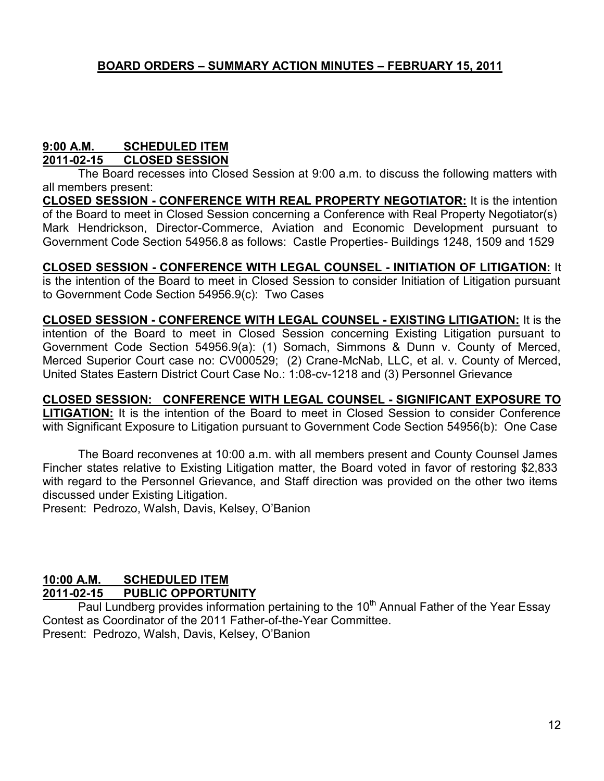# **9:00 A.M. SCHEDULED ITEM**

**2011-02-15 CLOSED SESSION**

The Board recesses into Closed Session at 9:00 a.m. to discuss the following matters with all members present:

**CLOSED SESSION - CONFERENCE WITH REAL PROPERTY NEGOTIATOR:** It is the intention of the Board to meet in Closed Session concerning a Conference with Real Property Negotiator(s) Mark Hendrickson, Director-Commerce, Aviation and Economic Development pursuant to Government Code Section 54956.8 as follows: Castle Properties- Buildings 1248, 1509 and 1529

**CLOSED SESSION - CONFERENCE WITH LEGAL COUNSEL - INITIATION OF LITIGATION:** It is the intention of the Board to meet in Closed Session to consider Initiation of Litigation pursuant to Government Code Section 54956.9(c): Two Cases

**CLOSED SESSION - CONFERENCE WITH LEGAL COUNSEL - EXISTING LITIGATION:** It is the intention of the Board to meet in Closed Session concerning Existing Litigation pursuant to Government Code Section 54956.9(a): (1) Somach, Simmons & Dunn v. County of Merced, Merced Superior Court case no: CV000529; (2) Crane-McNab, LLC, et al. v. County of Merced, United States Eastern District Court Case No.: 1:08-cv-1218 and (3) Personnel Grievance

**CLOSED SESSION: CONFERENCE WITH LEGAL COUNSEL - SIGNIFICANT EXPOSURE TO LITIGATION:** It is the intention of the Board to meet in Closed Session to consider Conference with Significant Exposure to Litigation pursuant to Government Code Section 54956(b): One Case

The Board reconvenes at 10:00 a.m. with all members present and County Counsel James Fincher states relative to Existing Litigation matter, the Board voted in favor of restoring \$2,833 with regard to the Personnel Grievance, and Staff direction was provided on the other two items discussed under Existing Litigation.

Present: Pedrozo, Walsh, Davis, Kelsey, O'Banion

# **10:00 A.M. SCHEDULED ITEM**

# **2011-02-15 PUBLIC OPPORTUNITY**

Paul Lundberg provides information pertaining to the 10<sup>th</sup> Annual Father of the Year Essay Contest as Coordinator of the 2011 Father-of-the-Year Committee. Present: Pedrozo, Walsh, Davis, Kelsey, O'Banion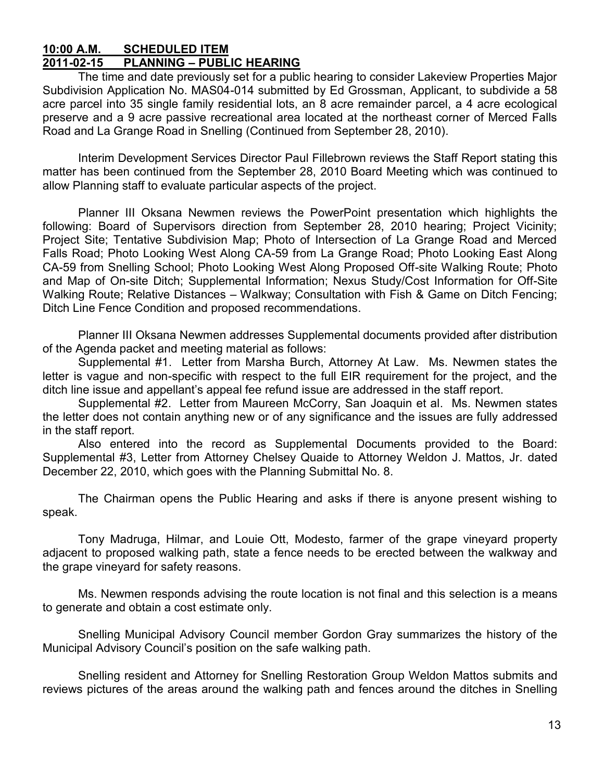#### **10:00 A.M. SCHEDULED ITEM 2011-02-15 PLANNING – PUBLIC HEARING**

The time and date previously set for a public hearing to consider Lakeview Properties Major Subdivision Application No. MAS04-014 submitted by Ed Grossman, Applicant, to subdivide a 58 acre parcel into 35 single family residential lots, an 8 acre remainder parcel, a 4 acre ecological preserve and a 9 acre passive recreational area located at the northeast corner of Merced Falls Road and La Grange Road in Snelling (Continued from September 28, 2010).

Interim Development Services Director Paul Fillebrown reviews the Staff Report stating this matter has been continued from the September 28, 2010 Board Meeting which was continued to allow Planning staff to evaluate particular aspects of the project.

Planner III Oksana Newmen reviews the PowerPoint presentation which highlights the following: Board of Supervisors direction from September 28, 2010 hearing; Project Vicinity; Project Site; Tentative Subdivision Map; Photo of Intersection of La Grange Road and Merced Falls Road; Photo Looking West Along CA-59 from La Grange Road; Photo Looking East Along CA-59 from Snelling School; Photo Looking West Along Proposed Off-site Walking Route; Photo and Map of On-site Ditch; Supplemental Information; Nexus Study/Cost Information for Off-Site Walking Route; Relative Distances – Walkway; Consultation with Fish & Game on Ditch Fencing; Ditch Line Fence Condition and proposed recommendations.

Planner III Oksana Newmen addresses Supplemental documents provided after distribution of the Agenda packet and meeting material as follows:

Supplemental #1. Letter from Marsha Burch, Attorney At Law. Ms. Newmen states the letter is vague and non-specific with respect to the full EIR requirement for the project, and the ditch line issue and appellant's appeal fee refund issue are addressed in the staff report.

Supplemental #2. Letter from Maureen McCorry, San Joaquin et al. Ms. Newmen states the letter does not contain anything new or of any significance and the issues are fully addressed in the staff report.

Also entered into the record as Supplemental Documents provided to the Board: Supplemental #3, Letter from Attorney Chelsey Quaide to Attorney Weldon J. Mattos, Jr. dated December 22, 2010, which goes with the Planning Submittal No. 8.

The Chairman opens the Public Hearing and asks if there is anyone present wishing to speak.

Tony Madruga, Hilmar, and Louie Ott, Modesto, farmer of the grape vineyard property adjacent to proposed walking path, state a fence needs to be erected between the walkway and the grape vineyard for safety reasons.

Ms. Newmen responds advising the route location is not final and this selection is a means to generate and obtain a cost estimate only.

Snelling Municipal Advisory Council member Gordon Gray summarizes the history of the Municipal Advisory Council's position on the safe walking path.

Snelling resident and Attorney for Snelling Restoration Group Weldon Mattos submits and reviews pictures of the areas around the walking path and fences around the ditches in Snelling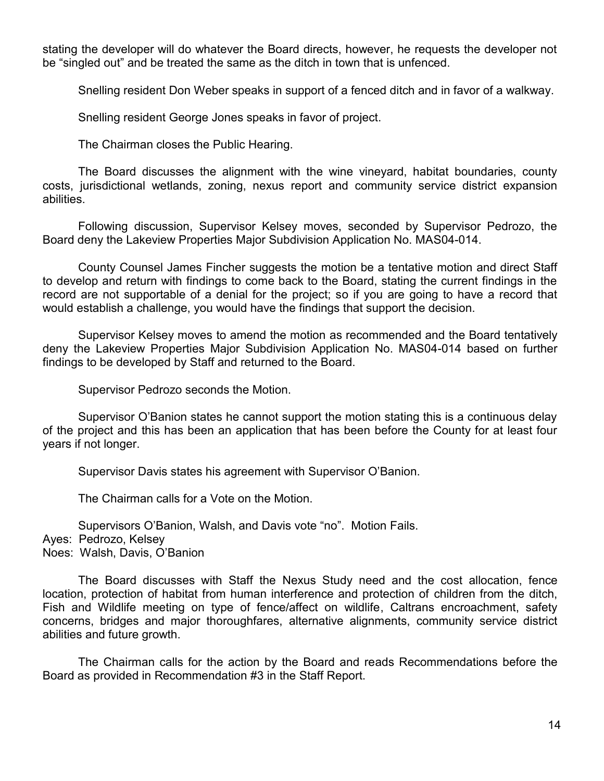stating the developer will do whatever the Board directs, however, he requests the developer not be "singled out" and be treated the same as the ditch in town that is unfenced.

Snelling resident Don Weber speaks in support of a fenced ditch and in favor of a walkway.

Snelling resident George Jones speaks in favor of project.

The Chairman closes the Public Hearing.

The Board discusses the alignment with the wine vineyard, habitat boundaries, county costs, jurisdictional wetlands, zoning, nexus report and community service district expansion abilities.

Following discussion, Supervisor Kelsey moves, seconded by Supervisor Pedrozo, the Board deny the Lakeview Properties Major Subdivision Application No. MAS04-014.

County Counsel James Fincher suggests the motion be a tentative motion and direct Staff to develop and return with findings to come back to the Board, stating the current findings in the record are not supportable of a denial for the project; so if you are going to have a record that would establish a challenge, you would have the findings that support the decision.

Supervisor Kelsey moves to amend the motion as recommended and the Board tentatively deny the Lakeview Properties Major Subdivision Application No. MAS04-014 based on further findings to be developed by Staff and returned to the Board.

Supervisor Pedrozo seconds the Motion.

Supervisor O'Banion states he cannot support the motion stating this is a continuous delay of the project and this has been an application that has been before the County for at least four years if not longer.

Supervisor Davis states his agreement with Supervisor O'Banion.

The Chairman calls for a Vote on the Motion.

Supervisors O'Banion, Walsh, and Davis vote "no". Motion Fails.

Ayes: Pedrozo, Kelsey

Noes: Walsh, Davis, O'Banion

The Board discusses with Staff the Nexus Study need and the cost allocation, fence location, protection of habitat from human interference and protection of children from the ditch, Fish and Wildlife meeting on type of fence/affect on wildlife, Caltrans encroachment, safety concerns, bridges and major thoroughfares, alternative alignments, community service district abilities and future growth.

The Chairman calls for the action by the Board and reads Recommendations before the Board as provided in Recommendation #3 in the Staff Report.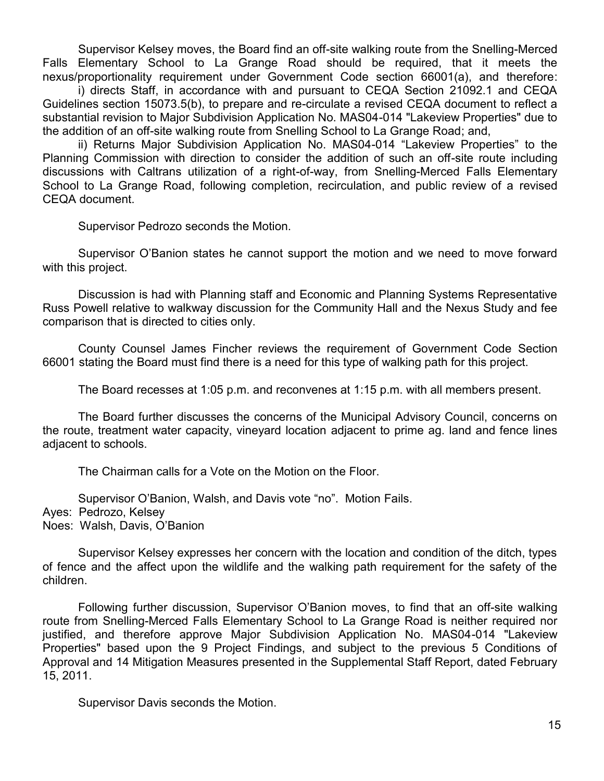Supervisor Kelsey moves, the Board find an off-site walking route from the Snelling-Merced Falls Elementary School to La Grange Road should be required, that it meets the nexus/proportionality requirement under Government Code section 66001(a), and therefore:

i) directs Staff, in accordance with and pursuant to CEQA Section 21092.1 and CEQA Guidelines section 15073.5(b), to prepare and re-circulate a revised CEQA document to reflect a substantial revision to Major Subdivision Application No. MAS04-014 "Lakeview Properties" due to the addition of an off-site walking route from Snelling School to La Grange Road; and,

ii) Returns Major Subdivision Application No. MAS04-014 "Lakeview Properties" to the Planning Commission with direction to consider the addition of such an off-site route including discussions with Caltrans utilization of a right-of-way, from Snelling-Merced Falls Elementary School to La Grange Road, following completion, recirculation, and public review of a revised CEQA document.

Supervisor Pedrozo seconds the Motion.

Supervisor O'Banion states he cannot support the motion and we need to move forward with this project.

Discussion is had with Planning staff and Economic and Planning Systems Representative Russ Powell relative to walkway discussion for the Community Hall and the Nexus Study and fee comparison that is directed to cities only.

County Counsel James Fincher reviews the requirement of Government Code Section 66001 stating the Board must find there is a need for this type of walking path for this project.

The Board recesses at 1:05 p.m. and reconvenes at 1:15 p.m. with all members present.

The Board further discusses the concerns of the Municipal Advisory Council, concerns on the route, treatment water capacity, vineyard location adjacent to prime ag. land and fence lines adjacent to schools.

The Chairman calls for a Vote on the Motion on the Floor.

Supervisor O'Banion, Walsh, and Davis vote "no". Motion Fails.

Ayes: Pedrozo, Kelsey

Noes: Walsh, Davis, O'Banion

Supervisor Kelsey expresses her concern with the location and condition of the ditch, types of fence and the affect upon the wildlife and the walking path requirement for the safety of the children.

Following further discussion, Supervisor O'Banion moves, to find that an off-site walking route from Snelling-Merced Falls Elementary School to La Grange Road is neither required nor justified, and therefore approve Major Subdivision Application No. MAS04-014 "Lakeview Properties" based upon the 9 Project Findings, and subject to the previous 5 Conditions of Approval and 14 Mitigation Measures presented in the Supplemental Staff Report, dated February 15, 2011.

Supervisor Davis seconds the Motion.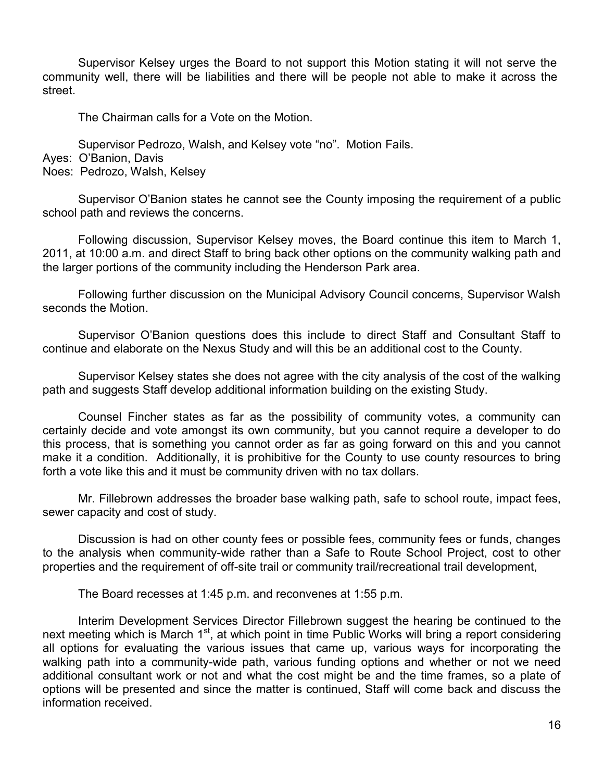Supervisor Kelsey urges the Board to not support this Motion stating it will not serve the community well, there will be liabilities and there will be people not able to make it across the street.

The Chairman calls for a Vote on the Motion.

Supervisor Pedrozo, Walsh, and Kelsey vote "no". Motion Fails.

Ayes: O'Banion, Davis

Noes: Pedrozo, Walsh, Kelsey

Supervisor O'Banion states he cannot see the County imposing the requirement of a public school path and reviews the concerns.

Following discussion, Supervisor Kelsey moves, the Board continue this item to March 1, 2011, at 10:00 a.m. and direct Staff to bring back other options on the community walking path and the larger portions of the community including the Henderson Park area.

Following further discussion on the Municipal Advisory Council concerns, Supervisor Walsh seconds the Motion.

Supervisor O'Banion questions does this include to direct Staff and Consultant Staff to continue and elaborate on the Nexus Study and will this be an additional cost to the County.

Supervisor Kelsey states she does not agree with the city analysis of the cost of the walking path and suggests Staff develop additional information building on the existing Study.

Counsel Fincher states as far as the possibility of community votes, a community can certainly decide and vote amongst its own community, but you cannot require a developer to do this process, that is something you cannot order as far as going forward on this and you cannot make it a condition. Additionally, it is prohibitive for the County to use county resources to bring forth a vote like this and it must be community driven with no tax dollars.

Mr. Fillebrown addresses the broader base walking path, safe to school route, impact fees, sewer capacity and cost of study.

Discussion is had on other county fees or possible fees, community fees or funds, changes to the analysis when community-wide rather than a Safe to Route School Project, cost to other properties and the requirement of off-site trail or community trail/recreational trail development,

The Board recesses at 1:45 p.m. and reconvenes at 1:55 p.m.

Interim Development Services Director Fillebrown suggest the hearing be continued to the next meeting which is March 1<sup>st</sup>, at which point in time Public Works will bring a report considering all options for evaluating the various issues that came up, various ways for incorporating the walking path into a community-wide path, various funding options and whether or not we need additional consultant work or not and what the cost might be and the time frames, so a plate of options will be presented and since the matter is continued, Staff will come back and discuss the information received.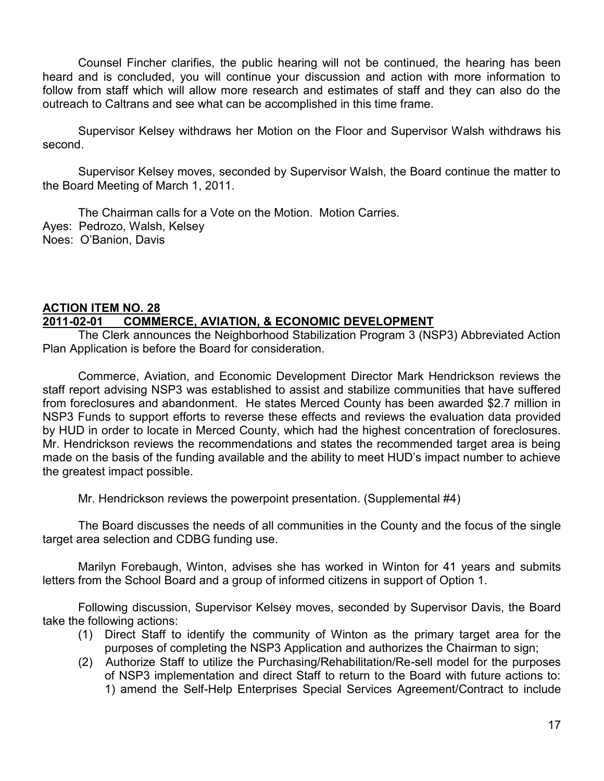Counsel Fincher clarifies, the public hearing will not be continued, the hearing has been heard and is concluded, you will continue your discussion and action with more information to follow from staff which will allow more research and estimates of staff and they can also do the outreach to Caltrans and see what can be accomplished in this time frame.

Supervisor Kelsey withdraws her Motion on the Floor and Supervisor Walsh withdraws his second.

Supervisor Kelsey moves, seconded by Supervisor Walsh, the Board continue the matter to the Board Meeting of March 1, 2011.

The Chairman calls for a Vote on the Motion. Motion Carries. Ayes: Pedrozo, Walsh, Kelsey Noes: O'Banion, Davis

#### **ACTION ITEM NO. 28 2011-02-01 COMMERCE, AVIATION, & ECONOMIC DEVELOPMENT**

The Clerk announces the Neighborhood Stabilization Program 3 (NSP3) Abbreviated Action Plan Application is before the Board for consideration.

Commerce, Aviation, and Economic Development Director Mark Hendrickson reviews the staff report advising NSP3 was established to assist and stabilize communities that have suffered from foreclosures and abandonment. He states Merced County has been awarded \$2.7 million in NSP3 Funds to support efforts to reverse these effects and reviews the evaluation data provided by HUD in order to locate in Merced County, which had the highest concentration of foreclosures. Mr. Hendrickson reviews the recommendations and states the recommended target area is being made on the basis of the funding available and the ability to meet HUD's impact number to achieve the greatest impact possible.

Mr. Hendrickson reviews the powerpoint presentation. (Supplemental #4)

The Board discusses the needs of all communities in the County and the focus of the single target area selection and CDBG funding use.

Marilyn Forebaugh, Winton, advises she has worked in Winton for 41 years and submits letters from the School Board and a group of informed citizens in support of Option 1.

Following discussion, Supervisor Kelsey moves, seconded by Supervisor Davis, the Board take the following actions:

- (1) Direct Staff to identify the community of Winton as the primary target area for the purposes of completing the NSP3 Application and authorizes the Chairman to sign;
- (2) Authorize Staff to utilize the Purchasing/Rehabilitation/Re-sell model for the purposes of NSP3 implementation and direct Staff to return to the Board with future actions to: 1) amend the Self-Help Enterprises Special Services Agreement/Contract to include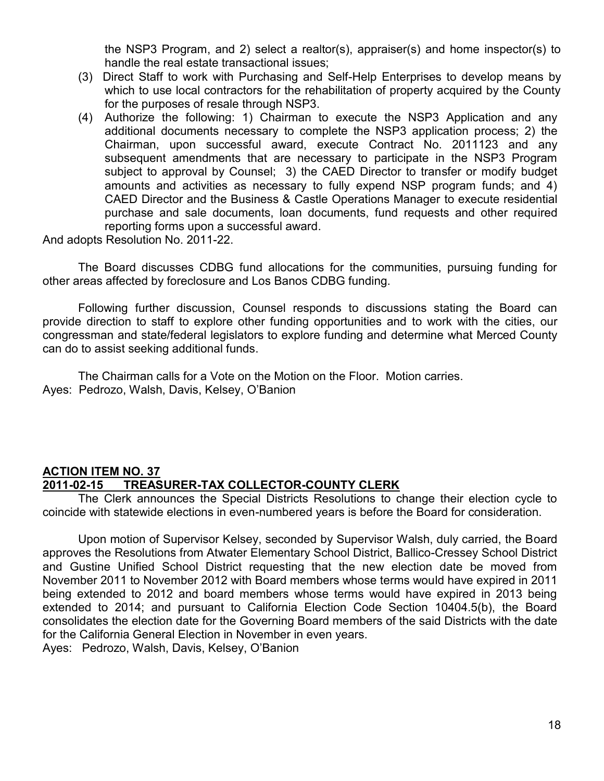the NSP3 Program, and 2) select a realtor(s), appraiser(s) and home inspector(s) to handle the real estate transactional issues;

- (3) Direct Staff to work with Purchasing and Self-Help Enterprises to develop means by which to use local contractors for the rehabilitation of property acquired by the County for the purposes of resale through NSP3.
- (4) Authorize the following: 1) Chairman to execute the NSP3 Application and any additional documents necessary to complete the NSP3 application process; 2) the Chairman, upon successful award, execute Contract No. 2011123 and any subsequent amendments that are necessary to participate in the NSP3 Program subject to approval by Counsel; 3) the CAED Director to transfer or modify budget amounts and activities as necessary to fully expend NSP program funds; and 4) CAED Director and the Business & Castle Operations Manager to execute residential purchase and sale documents, loan documents, fund requests and other required reporting forms upon a successful award.

And adopts Resolution No. 2011-22.

The Board discusses CDBG fund allocations for the communities, pursuing funding for other areas affected by foreclosure and Los Banos CDBG funding.

Following further discussion, Counsel responds to discussions stating the Board can provide direction to staff to explore other funding opportunities and to work with the cities, our congressman and state/federal legislators to explore funding and determine what Merced County can do to assist seeking additional funds.

The Chairman calls for a Vote on the Motion on the Floor. Motion carries. Ayes: Pedrozo, Walsh, Davis, Kelsey, O'Banion

#### **ACTION ITEM NO. 37 2011-02-15 TREASURER-TAX COLLECTOR-COUNTY CLERK**

The Clerk announces the Special Districts Resolutions to change their election cycle to coincide with statewide elections in even-numbered years is before the Board for consideration.

Upon motion of Supervisor Kelsey, seconded by Supervisor Walsh, duly carried, the Board approves the Resolutions from Atwater Elementary School District, Ballico-Cressey School District and Gustine Unified School District requesting that the new election date be moved from November 2011 to November 2012 with Board members whose terms would have expired in 2011 being extended to 2012 and board members whose terms would have expired in 2013 being extended to 2014; and pursuant to California Election Code Section 10404.5(b), the Board consolidates the election date for the Governing Board members of the said Districts with the date for the California General Election in November in even years. Ayes: Pedrozo, Walsh, Davis, Kelsey, O'Banion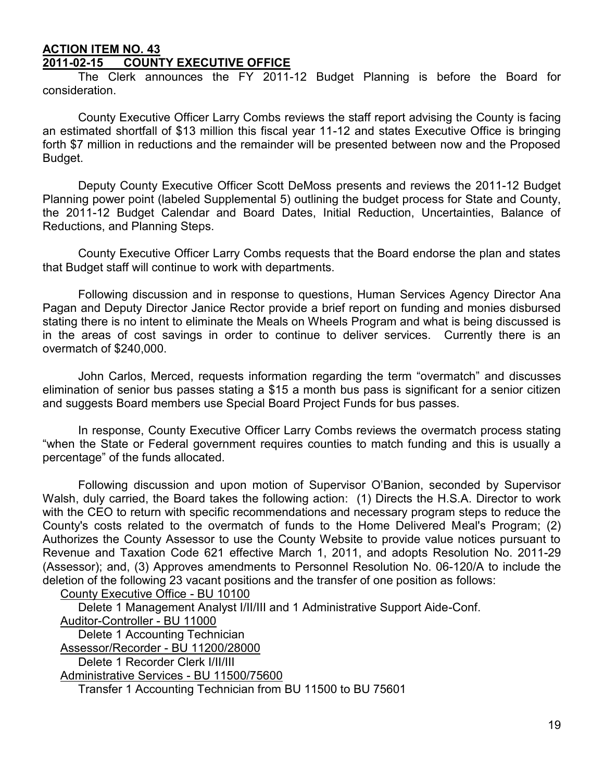#### **ACTION ITEM NO. 43 2011-02-15 COUNTY EXECUTIVE OFFICE**

The Clerk announces the FY 2011-12 Budget Planning is before the Board for consideration.

County Executive Officer Larry Combs reviews the staff report advising the County is facing an estimated shortfall of \$13 million this fiscal year 11-12 and states Executive Office is bringing forth \$7 million in reductions and the remainder will be presented between now and the Proposed Budget.

Deputy County Executive Officer Scott DeMoss presents and reviews the 2011-12 Budget Planning power point (labeled Supplemental 5) outlining the budget process for State and County, the 2011-12 Budget Calendar and Board Dates, Initial Reduction, Uncertainties, Balance of Reductions, and Planning Steps.

County Executive Officer Larry Combs requests that the Board endorse the plan and states that Budget staff will continue to work with departments.

Following discussion and in response to questions, Human Services Agency Director Ana Pagan and Deputy Director Janice Rector provide a brief report on funding and monies disbursed stating there is no intent to eliminate the Meals on Wheels Program and what is being discussed is in the areas of cost savings in order to continue to deliver services. Currently there is an overmatch of \$240,000.

John Carlos, Merced, requests information regarding the term "overmatch" and discusses elimination of senior bus passes stating a \$15 a month bus pass is significant for a senior citizen and suggests Board members use Special Board Project Funds for bus passes.

In response, County Executive Officer Larry Combs reviews the overmatch process stating "when the State or Federal government requires counties to match funding and this is usually a percentage" of the funds allocated.

Following discussion and upon motion of Supervisor O'Banion, seconded by Supervisor Walsh, duly carried, the Board takes the following action: (1) Directs the H.S.A. Director to work with the CEO to return with specific recommendations and necessary program steps to reduce the County's costs related to the overmatch of funds to the Home Delivered Meal's Program; (2) Authorizes the County Assessor to use the County Website to provide value notices pursuant to Revenue and Taxation Code 621 effective March 1, 2011, and adopts Resolution No. 2011-29 (Assessor); and, (3) Approves amendments to Personnel Resolution No. 06-120/A to include the deletion of the following 23 vacant positions and the transfer of one position as follows:

County Executive Office - BU 10100

Delete 1 Management Analyst I/II/III and 1 Administrative Support Aide-Conf. Auditor-Controller - BU 11000 Delete 1 Accounting Technician Assessor/Recorder - BU 11200/28000 Delete 1 Recorder Clerk I/II/III Administrative Services - BU 11500/75600 Transfer 1 Accounting Technician from BU 11500 to BU 75601